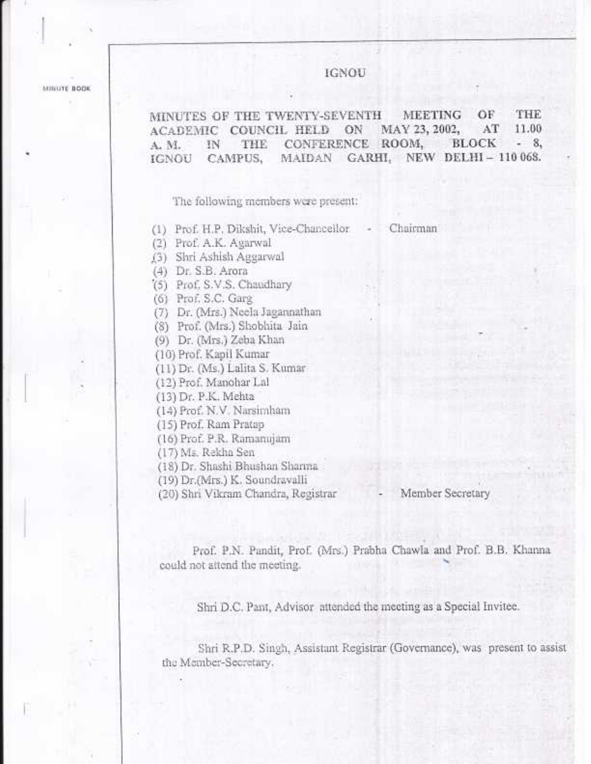MINUTE BOOK

# **IGNOU**

OF THE MINUTES OF THE TWENTY-SEVENTH **MEETING** ACADEMIC COUNCIL HELD ON MAY 23, 2002,  $AT$ 11.00  $-8$ THE CONFERENCE ROOM, BLOCK A. M. IN MAIDAN GARHI, NEW DELHI-110068. IGNOU CAMPUS,

The following members were present:

- (1) Prof. H.P. Dikshit, Vice-Chancellor Chairman
- (2) Prof. A.K. Agarwal
- (3) Shri Ashish Aggarwal
- (4) Dr. S.B. Arora
- (5) Prof. S.V.S. Chaudhary
- (6) Prof. S.C. Garg
- (7) Dr. (Mrs.) Neela Jagannathan
- (8) Prof. (Mrs.) Shobhita Jain
- (9) Dr. (Mrs.) Zeba Khan
- (10) Prof. Kapil Kumar
- (11) Dr. (Ms.) Lalita S. Kumar
- (12) Prof. Manohar Lal
- (13) Dr. P.K. Mehta
- (14) Prof. N.V. Narsimham
- (15) Prof. Ram Pratap
- (16) Prof. P.R. Ramanujam
- (17) Ms. Rekha Sen
- (18) Dr. Shashi Bhushan Sharma
- (19) Dr.(Mrs.) K. Soundravalli
- (20) Shri Vikram Chandra, Registrar

## Member Secretary

Prof. P.N. Pandit, Prof. (Mrs.) Prabha Chawla and Prof. B.B. Khanna could not attend the meeting.

Shri D.C. Pant, Advisor attended the meeting as a Special Invitee.

Shri R.P.D. Singh, Assistant Registrar (Governance), was present to assist the Member-Secretary.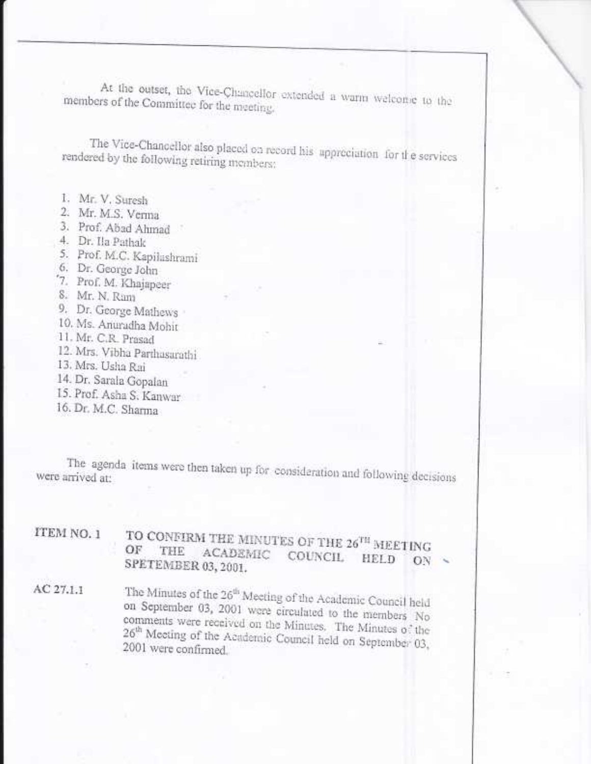At the outset, the Vice-Chancellor extended a warm welcome to the members of the Committee for the meeting.

The Vice-Chancellor also placed on record his appreciation for the services rendered by the following retiring members:

- 1. Mr. V. Suresh
- 2. Mr. M.S. Verma
- 3. Prof. Abad Ahmad
- 4. Dr. Ila Pathak
- 5. Prof. M.C. Kapilashrami
- 6. Dr. George John
- 7. Prof. M. Khajapeer
- 8. Mr. N. Ram
- 9. Dr. George Mathews
- 10. Ms. Anuradha Mohit
- 11. Mr. C.R. Prasad
- 12. Mrs. Vibha Parthasarathi
- 13. Mrs. Usha Rai
- 14. Dr. Sarala Gopalan
- 15. Prof. Asha S. Kanwar
- 16. Dr. M.C. Sharma

The agenda items were then taken up for consideration and following decisions were arrived at:

ITEM NO. 1 TO CONFIRM THE MINUTES OF THE 26TH MEETING  $OF$ THE ACADEMIC COUNCIL HELD SPETEMBER 03, 2001. ON

AC 27.1.1

The Minutes of the 26<sup>th</sup> Meeting of the Academic Council held on September 03, 2001 were circulated to the members No comments were received on the Minutes. The Minutes of the 26<sup>th</sup> Meeting of the Academic Council held on September 03, 2001 were confirmed.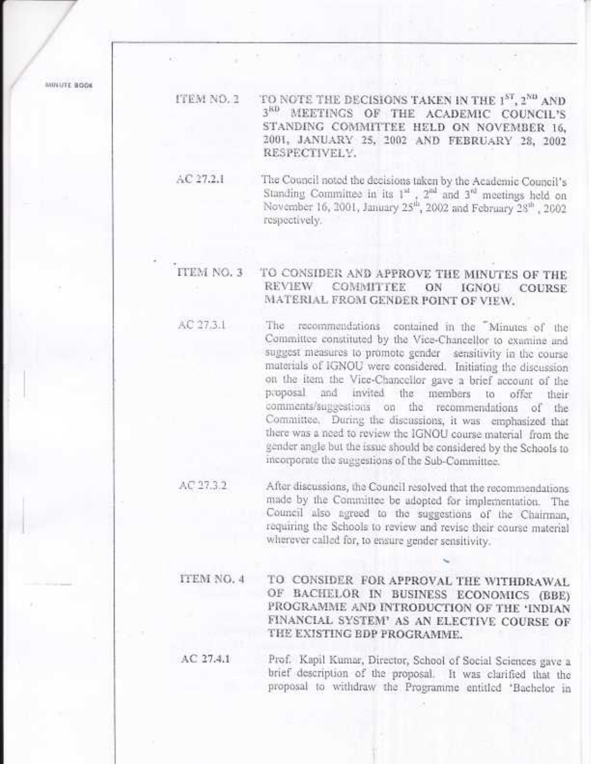MINUTE BOOK

TO NOTE THE DECISIONS TAKEN IN THE 1ST, 2ND AND ITEM NO. 2 3<sup>8D</sup> MEETINGS OF THE ACADEMIC COUNCIL'S STANDING COMMITTEE HELD ON NOVEMBER 16. 2001, JANUARY 25, 2002 AND FEBRUARY 28, 2002 RESPECTIVELY.

The Council noted the decisions taken by the Academic Council's  $AC27.2.1$ Standing Committee in its 1<sup>st</sup>, 2<sup>nd</sup> and 3<sup>rd</sup> meetings held on November 16, 2001, January 25<sup>th</sup>, 2002 and February 28<sup>th</sup>, 2002 respectively.

#### ITEM NO. 3 TO CONSIDER AND APPROVE THE MINUTES OF THE **REVIEW COMMITTEE** ON **IGNOU COURSE** MATERIAL FROM GENDER POINT OF VIEW.

- AC 27.3.1 The recommendations contained in the Minutes of the Committee constituted by the Vice-Chancellor to examine and suggest measures to promote gender sensitivity in the course materials of IGNOU were considered. Initiating the discussion on the item the Vice-Chancellor gave a brief account of the proposal and invited the members to offer their comments/suggestions on the recommendations of the Committee, During the discussions, it was emphasized that there was a need to review the IGNOU course material from the gender angle but the issue should be considered by the Schools to incorporate the suggestions of the Sub-Committee.
- AC 27.3.2 After discussions, the Council resolved that the recommendations made by the Committee be adopted for implementation. The Council also agreed to the suggestions of the Chairman, requiring the Schools to review and revise their course material wherever called for, to ensure gender sensitivity.
- TO CONSIDER FOR APPROVAL THE WITHDRAWAL ITEM NO. 4 OF BACHELOR IN BUSINESS ECONOMICS (BBE) PROGRAMME AND INTRODUCTION OF THE 'INDIAN FINANCIAL SYSTEM' AS AN ELECTIVE COURSE OF THE EXISTING EDP PROGRAMME.

AC 27.4.1 Prof. Kapil Kumar, Director, School of Social Sciences gave a brief description of the proposal. It was clarified that the proposal to withdraw the Programme entitled 'Bachelor in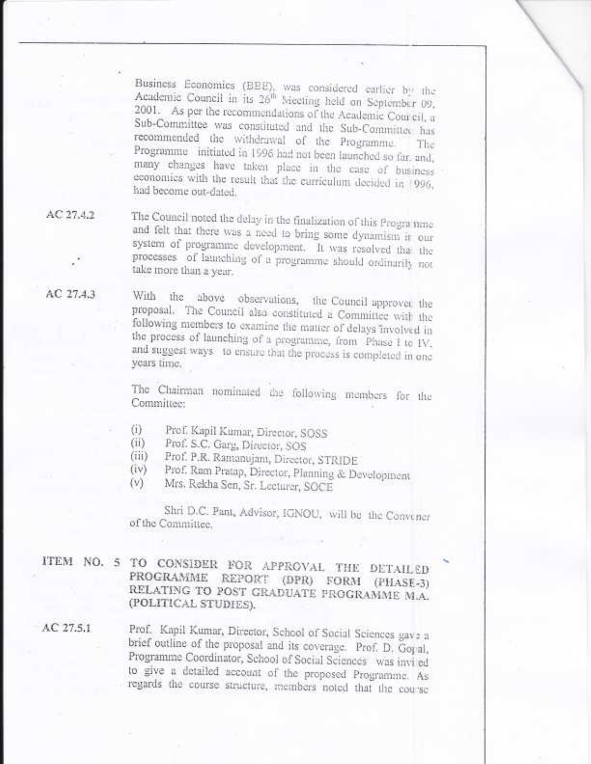Business Economics (BEE), was considered earlier by the Academic Council in its 26<sup>th</sup> Meeting held on September 09, 2001. As per the recommendations of the Academic Courcil, a Sub-Committee was constituted and the Sub-Committee has recommended the withdrawal of the Programme. The Programme initiated in 1996 had not been launched so far, and, many changes have taken place in the case of business economics with the result that the carriculum decided in 1996, had become out-dated.

 $AC27.4.2$ 

AC 27.4.3

The Council noted the delay in the finalization of this Programme and felt that there was a need to bring some dynamism it our system of programme development. It was resolved that the processes of latatching of a programme should ordinarily not take more than a year.

With the above observations, the Council approver the proposal. The Council also constituted a Committee with the following members to examine the matter of delays involved in the process of launching of a programme, from Phase I to IV, and suggest ways to ensure that the process is completed in one years time.

The Chairman nominated the following members for the Committee:

- Prof. Kapil Kumar, Director, SOSS  $(i)$
- Prof. S.C. Garg, Director, SOS (ii)
- Prof. P.R. Ramanujam, Director, STRIDE (前)
- Prof. Ram Pratap, Director, Planning & Development  $(iv)$
- $(V)$ Mrs. Reicha Sen, Sr. Lecturer, SOCE

Shri D.C. Pant, Advisor, IGNOU, will be the Convener of the Committee.

ITEM NO. 5 TO CONSIDER FOR APPROVAL THE DETAILED PROGRAMME REPORT (DPR) FORM (PHASE-3) RELATING TO POST GRADUATE PROGRAMME M.A. (POLITICAL STUDIES).

AC 27.5.1

Prof. Kapil Kumar, Director, School of Social Sciences gave a brief outline of the proposal and its coverage. Prof. D. Goral, Programme Coordinator, School of Social Sciences was invi ed to give a detailed account of the proposed Programme. As regards the course structure, members noted that the course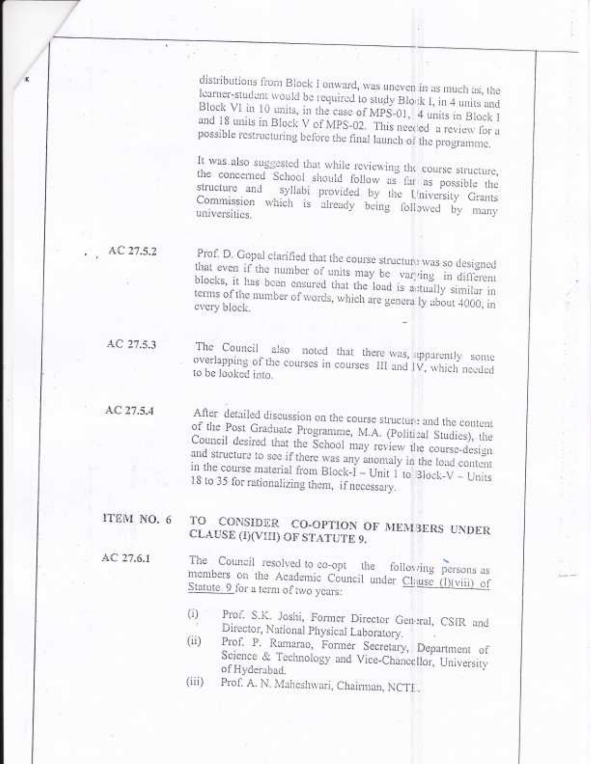distributions from Block I onward, was uneven in as much as, the learner-student would be required to study Block I, in 4 units and Block VI in 10 units, in the case of MPS-01, 4 units in Block I and 18 units in Block V of MPS-02. This needed a review for a possible restructuring before the final launch of the programme.

It was also suggested that while reviewing the course structure, the concerned School should follow as far as possible the structure and syllabi provided by the University Grants Commission which is already being followed by many

AC 27.5.2

Prof. D. Gopal clarified that the course structure was so designed that even if the number of units may be varying in different blocks, it has been ensured that the load is astually similar in terms of the number of words, which are generally about 4000, in every block.

AC 27.5.3

The Council also noted that there was, apparently some overlapping of the courses in courses. III and IV, which needed to be looked into.

 $AC27.5.4$ 

After detailed discussion on the course structure and the content of the Post Graduate Programme, M.A. (Political Studies), the Council desired that the School may review the course-design and structure to see if there was any anomaly in the load content in the course material from Block- $I - Unit 1$  to Block-V - Units 18 to 35 for rationalizing them, if necessary.

### ITEM NO. 6 TO CONSIDER CO-OPTION OF MEMBERS UNDER CLAUSE (I)(VIII) OF STATUTE 9.

 $AC27.6.1$ 

The Council resolved to co-opt the following persons as members on the Academic Council under Chase (I)(viii) of Statute 9 for a term of two years:

- Prof. S.K. Joshi, Former Director General, CSIR and  $\left( 1\right)$ Director, National Physical Laboratory.
- Prof. P. Ramarao, Former Secretary, Department of  $(ii)$ Science & Technology and Vice-Chancellor, University of Hyderabad.
- Prof. A. N. Maheshwari, Chairman, NCTE.  $\langle \overline{iii} \rangle$